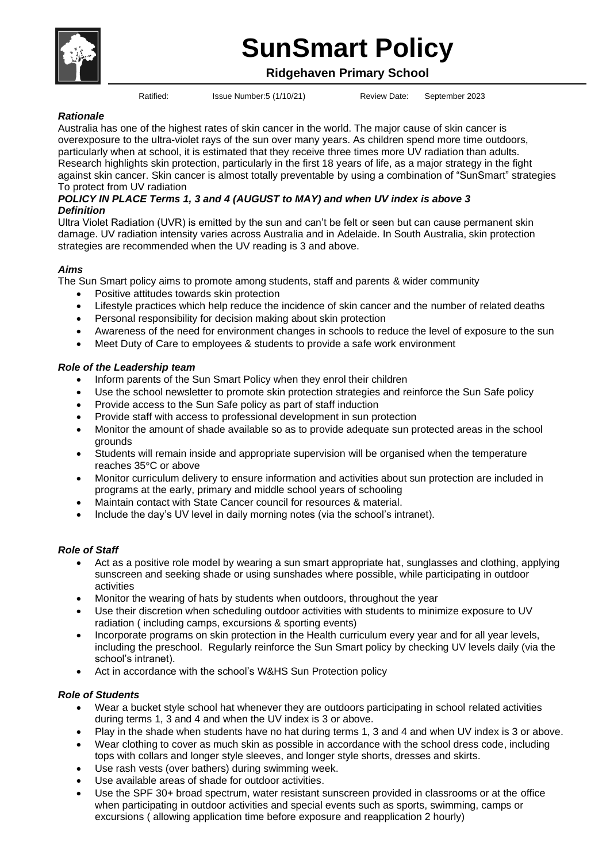# **SunSmart Policy**

# **Ridgehaven Primary School**

Ratified: Issue Number:5 (1/10/21) Review Date: September 2023

## *Rationale*

Australia has one of the highest rates of skin cancer in the world. The major cause of skin cancer is overexposure to the ultra-violet rays of the sun over many years. As children spend more time outdoors, particularly when at school, it is estimated that they receive three times more UV radiation than adults. Research highlights skin protection, particularly in the first 18 years of life, as a major strategy in the fight against skin cancer. Skin cancer is almost totally preventable by using a combination of "SunSmart" strategies To protect from UV radiation

#### *POLICY IN PLACE Terms 1, 3 and 4 (AUGUST to MAY) and when UV index is above 3 Definition*

Ultra Violet Radiation (UVR) is emitted by the sun and can't be felt or seen but can cause permanent skin damage. UV radiation intensity varies across Australia and in Adelaide. In South Australia, skin protection strategies are recommended when the UV reading is 3 and above.

## *Aims*

The Sun Smart policy aims to promote among students, staff and parents & wider community

- Positive attitudes towards skin protection
- Lifestyle practices which help reduce the incidence of skin cancer and the number of related deaths
- Personal responsibility for decision making about skin protection
- Awareness of the need for environment changes in schools to reduce the level of exposure to the sun
- Meet Duty of Care to employees & students to provide a safe work environment

## *Role of the Leadership team*

- Inform parents of the Sun Smart Policy when they enrol their children
- Use the school newsletter to promote skin protection strategies and reinforce the Sun Safe policy
- Provide access to the Sun Safe policy as part of staff induction
- Provide staff with access to professional development in sun protection
- Monitor the amount of shade available so as to provide adequate sun protected areas in the school grounds
- Students will remain inside and appropriate supervision will be organised when the temperature reaches 35°C or above
- Monitor curriculum delivery to ensure information and activities about sun protection are included in programs at the early, primary and middle school years of schooling
- Maintain contact with State Cancer council for resources & material.
- Include the day's UV level in daily morning notes (via the school's intranet).

#### *Role of Staff*

- Act as a positive role model by wearing a sun smart appropriate hat, sunglasses and clothing, applying sunscreen and seeking shade or using sunshades where possible, while participating in outdoor activities
- Monitor the wearing of hats by students when outdoors, throughout the year
- Use their discretion when scheduling outdoor activities with students to minimize exposure to UV radiation ( including camps, excursions & sporting events)
- Incorporate programs on skin protection in the Health curriculum every year and for all year levels, including the preschool. Regularly reinforce the Sun Smart policy by checking UV levels daily (via the school's intranet).
- Act in accordance with the school's W&HS Sun Protection policy

#### *Role of Students*

- Wear a bucket style school hat whenever they are outdoors participating in school related activities during terms 1, 3 and 4 and when the UV index is 3 or above.
- Play in the shade when students have no hat during terms 1, 3 and 4 and when UV index is 3 or above.
- Wear clothing to cover as much skin as possible in accordance with the school dress code, including tops with collars and longer style sleeves, and longer style shorts, dresses and skirts.
- Use rash vests (over bathers) during swimming week.
- Use available areas of shade for outdoor activities.
- Use the SPF 30+ broad spectrum, water resistant sunscreen provided in classrooms or at the office when participating in outdoor activities and special events such as sports, swimming, camps or excursions ( allowing application time before exposure and reapplication 2 hourly)